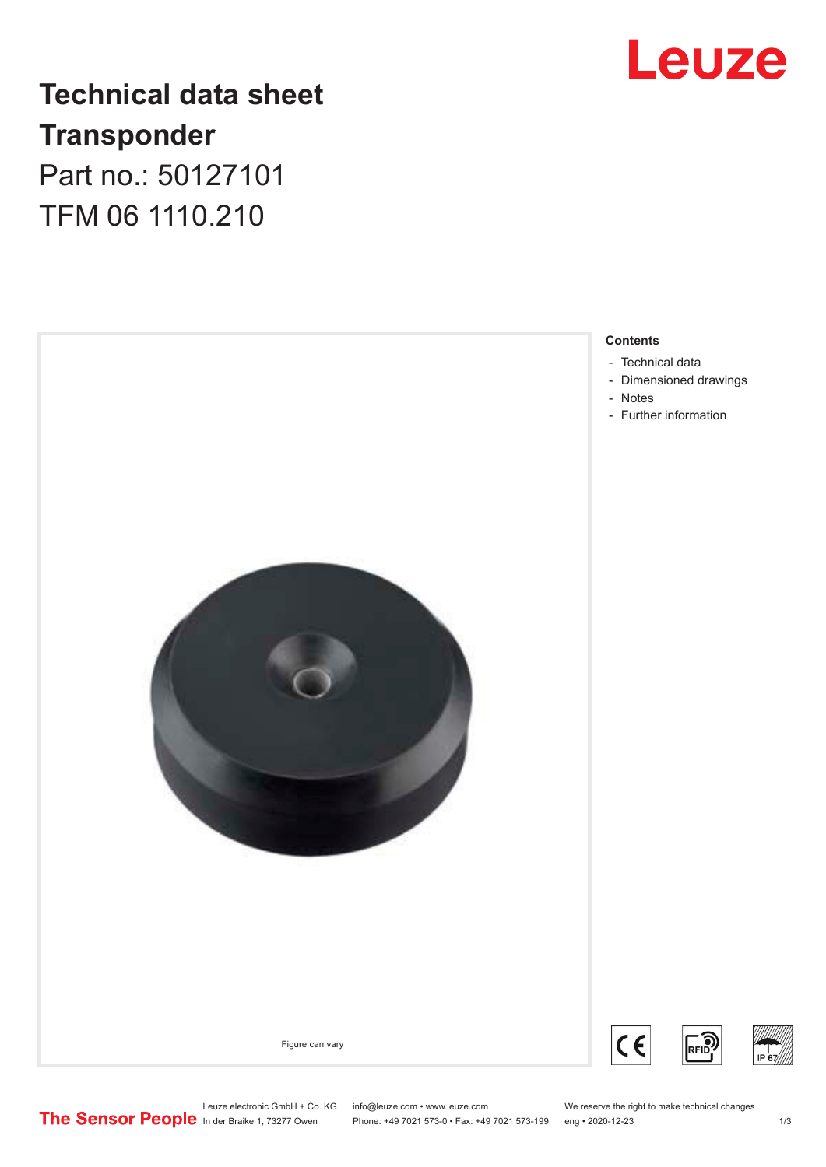

## **Technical data sheet Transponder** Part no.: 50127101 TFM 06 1110.210



Leuze electronic GmbH + Co. KG info@leuze.com • www.leuze.com We reserve the right to make technical changes<br>
The Sensor People in der Braike 1, 73277 Owen Phone: +49 7021 573-0 • Fax: +49 7021 573-199 eng • 2020-12-23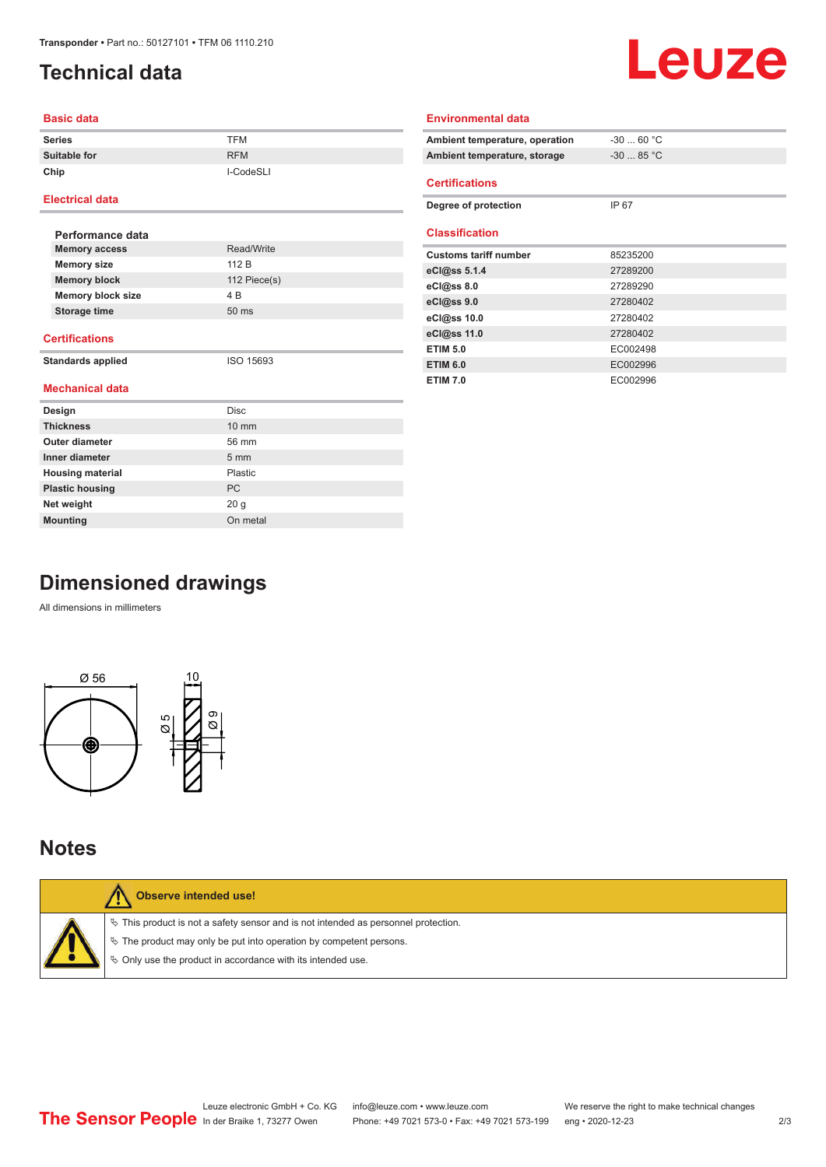## <span id="page-1-0"></span>**Technical data**

# Leuze

#### **Basic data**

| <b>Series</b> | <b>TFM</b> |
|---------------|------------|
| Suitable for  | <b>RFM</b> |
| Chip          | I-CodeSLI  |

#### **Electrical data**

| Performance data         |                 |  |
|--------------------------|-----------------|--|
| <b>Memory access</b>     | Read/Write      |  |
| <b>Memory size</b>       | 112 B           |  |
| <b>Memory block</b>      | 112 $Piece(s)$  |  |
| <b>Memory block size</b> | 4 B             |  |
| Storage time             | $50 \text{ ms}$ |  |
|                          |                 |  |

#### **Certifications**

**Standards applied** ISO 15693

#### **Mechanical data**

| Design                  | <b>Disc</b>      |
|-------------------------|------------------|
| <b>Thickness</b>        | $10 \text{ mm}$  |
| Outer diameter          | 56 mm            |
| Inner diameter          | $5 \, \text{mm}$ |
| <b>Housing material</b> | <b>Plastic</b>   |
| <b>Plastic housing</b>  | <b>PC</b>        |
| Net weight              | 20 <sub>g</sub>  |
| <b>Mounting</b>         | On metal         |

| Ambient temperature, operation | $-30$ 60 °C |
|--------------------------------|-------------|
| Ambient temperature, storage   | $-30$ 85 °C |
| <b>Certifications</b>          |             |
| Degree of protection           | IP 67       |
| <b>Classification</b>          |             |
|                                |             |
| <b>Customs tariff number</b>   | 85235200    |
| eCl@ss 5.1.4                   | 27289200    |
| eCl@ss 8.0                     | 27289290    |
| eCl@ss 9.0                     | 27280402    |
| eCl@ss 10.0                    | 27280402    |
| eCl@ss 11.0                    | 27280402    |
| <b>ETIM 5.0</b>                | EC002498    |
| <b>ETIM 6.0</b>                | EC002996    |
| <b>ETIM 7.0</b>                | EC002996    |

**Environmental data**

## **Dimensioned drawings**

All dimensions in millimeters



### **Notes**

| Observe intended use!                                                                                                                                                                                                         |
|-------------------------------------------------------------------------------------------------------------------------------------------------------------------------------------------------------------------------------|
| $\%$ This product is not a safety sensor and is not intended as personnel protection.<br>$\%$ The product may only be put into operation by competent persons.<br>♦ Only use the product in accordance with its intended use. |